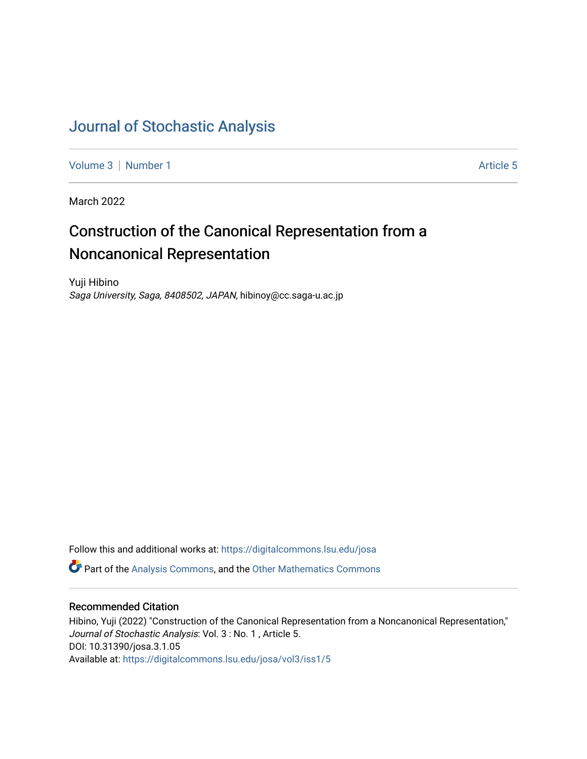# [Journal of Stochastic Analysis](https://digitalcommons.lsu.edu/josa)

[Volume 3](https://digitalcommons.lsu.edu/josa/vol3) | [Number 1](https://digitalcommons.lsu.edu/josa/vol3/iss1) Article 5

March 2022

# Construction of the Canonical Representation from a Noncanonical Representation

Yuji Hibino Saga University, Saga, 8408502, JAPAN, hibinoy@cc.saga-u.ac.jp

Follow this and additional works at: [https://digitalcommons.lsu.edu/josa](https://digitalcommons.lsu.edu/josa?utm_source=digitalcommons.lsu.edu%2Fjosa%2Fvol3%2Fiss1%2F5&utm_medium=PDF&utm_campaign=PDFCoverPages) 

**P** Part of the [Analysis Commons](http://network.bepress.com/hgg/discipline/177?utm_source=digitalcommons.lsu.edu%2Fjosa%2Fvol3%2Fiss1%2F5&utm_medium=PDF&utm_campaign=PDFCoverPages), and the [Other Mathematics Commons](http://network.bepress.com/hgg/discipline/185?utm_source=digitalcommons.lsu.edu%2Fjosa%2Fvol3%2Fiss1%2F5&utm_medium=PDF&utm_campaign=PDFCoverPages)

# Recommended Citation

Hibino, Yuji (2022) "Construction of the Canonical Representation from a Noncanonical Representation," Journal of Stochastic Analysis: Vol. 3 : No. 1 , Article 5. DOI: 10.31390/josa.3.1.05 Available at: [https://digitalcommons.lsu.edu/josa/vol3/iss1/5](https://digitalcommons.lsu.edu/josa/vol3/iss1/5?utm_source=digitalcommons.lsu.edu%2Fjosa%2Fvol3%2Fiss1%2F5&utm_medium=PDF&utm_campaign=PDFCoverPages)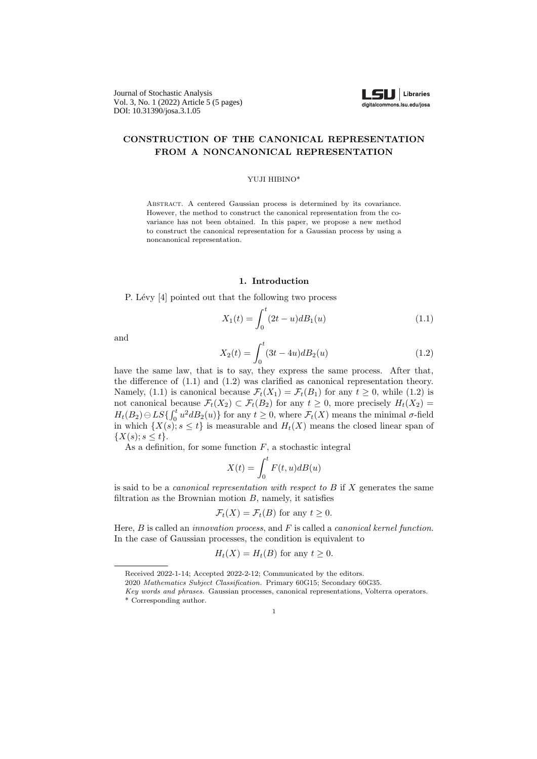Journal of Stochastic Analysis Vol. 3, No. 1 (2022) Article 5 (5 pages) DOI: 10.31390/josa.3.1.05



## **CONSTRUCTION OF THE CANONICAL REPRESENTATION FROM A NONCANONICAL REPRESENTATION**

#### YUJI HIBINO\*

Abstract. A centered Gaussian process is determined by its covariance. However, the method to construct the canonical representation from the covariance has not been obtained. In this paper, we propose a new method to construct the canonical representation for a Gaussian process by using a noncanonical representation.

## **1. Introduction**

P. Lévy [4] pointed out that the following two process

$$
X_1(t) = \int_0^t (2t - u) dB_1(u)
$$
\n(1.1)

and

$$
X_2(t) = \int_0^t (3t - 4u) dB_2(u)
$$
\n(1.2)

have the same law, that is to say, they express the same process. After that, the difference of (1.1) and (1.2) was clarified as canonical representation theory. Namely, (1.1) is canonical because  $\mathcal{F}_t(X_1) = \mathcal{F}_t(B_1)$  for any  $t \geq 0$ , while (1.2) is not canonical because  $\mathcal{F}_t(X_2) \subset \mathcal{F}_t(B_2)$  for any  $t \geq 0$ , more precisely  $H_t(X_2) =$  $H_t(B_2) \ominus LS$ <sup>*t*</sup> $\{ \int_0^t u^2 dB_2(u) \}$  for any  $t \geq 0$ , where  $\mathcal{F}_t(X)$  means the minimal *σ*-field in which  $\{X(s); s \leq t\}$  is measurable and  $H_t(X)$  means the closed linear span of *{X*(*s*); *s ≤ t}*.

As a definition, for some function *F*, a stochastic integral

$$
X(t) = \int_0^t F(t, u) dB(u)
$$

is said to be a *canonical representation with respect to B* if *X* generates the same filtration as the Brownian motion *B*, namely, it satisfies

$$
\mathcal{F}_t(X) = \mathcal{F}_t(B)
$$
 for any  $t \ge 0$ .

Here, *B* is called an *innovation process*, and *F* is called a *canonical kernel function*. In the case of Gaussian processes, the condition is equivalent to

$$
H_t(X) = H_t(B)
$$
 for any  $t \ge 0$ .

Received 2022-1-14; Accepted 2022-2-12; Communicated by the editors.

<sup>2020</sup> *Mathematics Subject Classification.* Primary 60G15; Secondary 60G35.

*Key words and phrases.* Gaussian processes, canonical representations, Volterra operators. \* Corresponding author.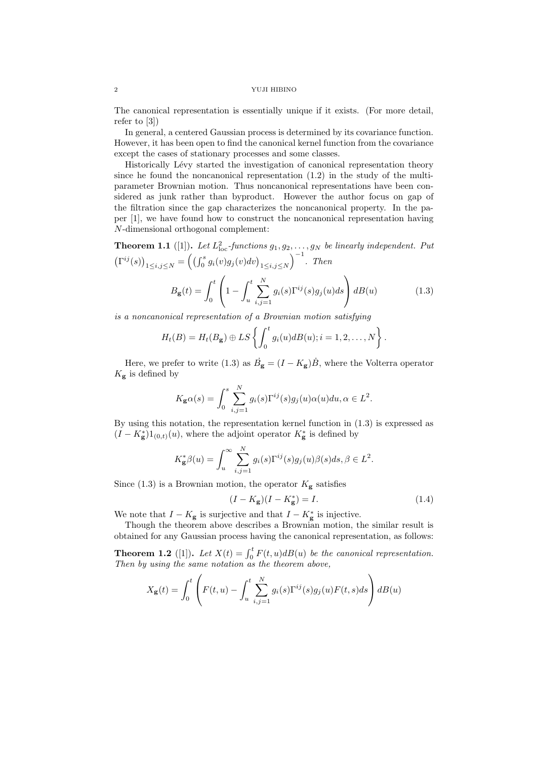### 2 YUJI HIBINO

The canonical representation is essentially unique if it exists. (For more detail, refer to [3])

In general, a centered Gaussian process is determined by its covariance function. However, it has been open to find the canonical kernel function from the covariance except the cases of stationary processes and some classes.

Historically Lévy started the investigation of canonical representation theory since he found the noncanonical representation (1.2) in the study of the multiparameter Brownian motion. Thus noncanonical representations have been considered as junk rather than byproduct. However the author focus on gap of the filtration since the gap characterizes the noncanonical property. In the paper [1], we have found how to construct the noncanonical representation having *N*-dimensional orthogonal complement:

**Theorem 1.1** ([1]). Let  $L^2_{\text{loc}}$ -functions  $g_1, g_2, \ldots, g_N$  be linearly independent. Put  $(\Gamma^{ij}(s))_{1 \le i,j \le N} = ((\int_0^s g_i(v)g_j(v)dv)_{1 \le i,j \le N}$ )*−*<sup>1</sup> *. Then*

$$
B_{\mathbf{g}}(t) = \int_0^t \left(1 - \int_u^t \sum_{i,j=1}^N g_i(s) \Gamma^{ij}(s) g_j(u) ds\right) dB(u)
$$
 (1.3)

*is a noncanonical representation of a Brownian motion satisfying*

$$
H_t(B) = H_t(B_{\mathbf{g}}) \oplus LS \left\{ \int_0^t g_i(u) dB(u); i = 1, 2, \ldots, N \right\}.
$$

Here, we prefer to write (1.3) as  $\dot{B}_g = (I - K_g)\dot{B}$ , where the Volterra operator  $K_{\mathbf{g}}$  is defined by

$$
K_{\mathbf{g}}\alpha(s) = \int_0^s \sum_{i,j=1}^N g_i(s) \Gamma^{ij}(s) g_j(u) \alpha(u) du, \alpha \in L^2.
$$

By using this notation, the representation kernel function in (1.3) is expressed as  $(I - K_{\mathbf{g}}^*$ )1<sub>(0,t)</sub>(*u*), where the adjoint operator  $K_{\mathbf{g}}^*$  is defined by

$$
K_{\mathbf{g}}^*\beta(u) = \int_u^\infty \sum_{i,j=1}^N g_i(s) \Gamma^{ij}(s) g_j(u) \beta(s) ds, \beta \in L^2.
$$

Since  $(1.3)$  is a Brownian motion, the operator  $K_{\mathbf{g}}$  satisfies

$$
(I - K_{\mathbf{g}})(I - K_{\mathbf{g}}^{*}) = I.
$$
\n(1.4)

We note that  $I - K_{\mathbf{g}}$  is surjective and that  $I - K_{\mathbf{g}}^*$  is injective.

Though the theorem above describes a Brownian motion, the similar result is obtained for any Gaussian process having the canonical representation, as follows:

**Theorem 1.2** ([1]). Let  $X(t) = \int_0^t F(t, u) dB(u)$  be the canonical representation. *Then by using the same notation as the theorem above,*

$$
X_{\mathbf{g}}(t) = \int_0^t \left( F(t, u) - \int_u^t \sum_{i,j=1}^N g_i(s) \Gamma^{ij}(s) g_j(u) F(t, s) ds \right) dB(u)
$$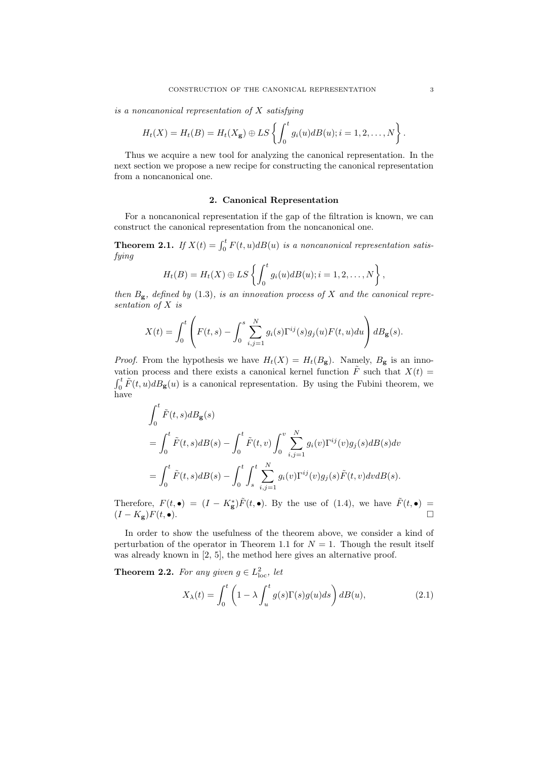*is a noncanonical representation of X satisfying*

$$
H_t(X) = H_t(B) = H_t(X_{\mathbf{g}}) \oplus LS \left\{ \int_0^t g_i(u) dB(u); i = 1, 2, \ldots, N \right\}.
$$

Thus we acquire a new tool for analyzing the canonical representation. In the next section we propose a new recipe for constructing the canonical representation from a noncanonical one.

#### **2. Canonical Representation**

For a noncanonical representation if the gap of the filtration is known, we can construct the canonical representation from the noncanonical one.

**Theorem 2.1.** *If*  $X(t) = \int_0^t F(t, u) dB(u)$  *is a noncanonical representation satisfying*

$$
H_t(B) = H_t(X) \oplus LS \left\{ \int_0^t g_i(u) dB(u); i = 1, 2, \ldots, N \right\},\,
$$

*then*  $B_g$ *, defined by* (1.3)*, is an innovation process of X* and the canonical repre*sentation of X is*

$$
X(t) = \int_0^t \left( F(t,s) - \int_0^s \sum_{i,j=1}^N g_i(s) \Gamma^{ij}(s) g_j(u) F(t,u) du \right) dB_{\mathbf{g}}(s).
$$

*Proof.* From the hypothesis we have  $H_t(X) = H_t(B_g)$ . Namely,  $B_g$  is an innovation process and there exists a canonical kernel function  $\tilde{F}$  such that  $X(t)$  $\int_0^t \tilde{F}(t, u) dB_{\mathbf{g}}(u)$  is a canonical representation. By using the Fubini theorem, we have

$$
\int_0^t \tilde{F}(t,s)dB_{\mathbf{g}}(s)
$$
  
= 
$$
\int_0^t \tilde{F}(t,s)dB(s) - \int_0^t \tilde{F}(t,v) \int_0^v \sum_{i,j=1}^N g_i(v)\Gamma^{ij}(v)g_j(s)dB(s)dv
$$
  
= 
$$
\int_0^t \tilde{F}(t,s)dB(s) - \int_0^t \int_s^t \sum_{i,j=1}^N g_i(v)\Gamma^{ij}(v)g_j(s)\tilde{F}(t,v)dvdB(s).
$$

Therefore,  $F(t, \bullet) = (I - K_{\bf g}^*)\tilde{F}(t, \bullet)$ . By the use of (1.4), we have  $\tilde{F}(t, \bullet) =$  $(I - K_{\mathbf{g}})F(t, \bullet).$ 

In order to show the usefulness of the theorem above, we consider a kind of perturbation of the operator in Theorem 1.1 for  $N = 1$ . Though the result itself was already known in [2, 5], the method here gives an alternative proof.

**Theorem 2.2.** For any given  $g \in L^2_{loc}$ , let

$$
X_{\lambda}(t) = \int_0^t \left(1 - \lambda \int_u^t g(s) \Gamma(s) g(u) ds\right) dB(u), \tag{2.1}
$$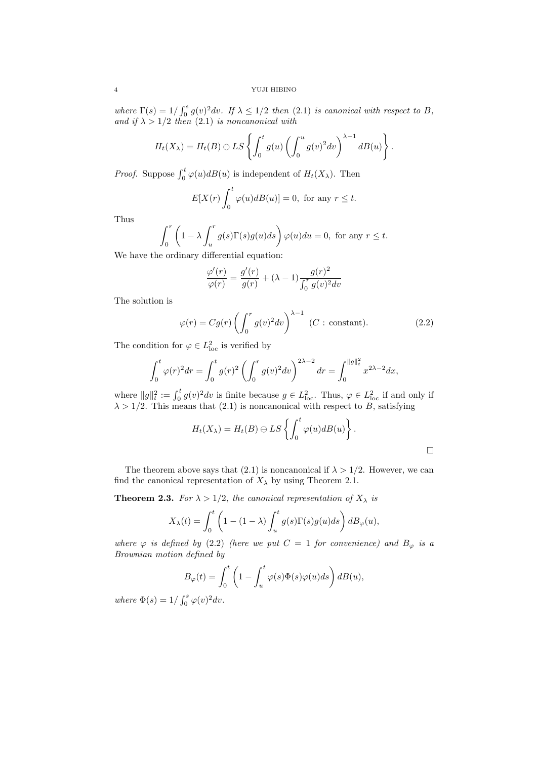*where*  $\Gamma(s) = 1/\int_0^s g(v)^2 dv$ *. If*  $\lambda \leq 1/2$  *then* (2.1) *is canonical with respect to B, and if*  $\lambda > 1/2$  *then* (2.1) *is noncanonical with* 

$$
H_t(X_\lambda) = H_t(B) \ominus LS \left\{ \int_0^t g(u) \left( \int_0^u g(v)^2 dv \right)^{\lambda-1} dB(u) \right\}.
$$

*Proof.* Suppose  $\int_0^t \varphi(u) dB(u)$  is independent of  $H_t(X_\lambda)$ . Then

$$
E[X(r)\int_0^t \varphi(u)dB(u)] = 0, \text{ for any } r \le t.
$$

Thus

$$
\int_0^r \left(1 - \lambda \int_u^r g(s) \Gamma(s) g(u) ds\right) \varphi(u) du = 0, \text{ for any } r \le t.
$$

We have the ordinary differential equation:

$$
\frac{\varphi'(r)}{\varphi(r)} = \frac{g'(r)}{g(r)} + (\lambda - 1) \frac{g(r)^2}{\int_0^r g(v)^2 dv}
$$

The solution is

$$
\varphi(r) = Cg(r) \left( \int_0^r g(v)^2 dv \right)^{\lambda - 1} \quad (C : \text{ constant}). \tag{2.2}
$$

The condition for  $\varphi \in L^2_{\text{loc}}$  is verified by

$$
\int_0^t \varphi(r)^2 dr = \int_0^t g(r)^2 \left( \int_0^r g(v)^2 dv \right)^{2\lambda - 2} dr = \int_0^{\|g\|_t^2} x^{2\lambda - 2} dx,
$$

where  $||g||_t^2 := \int_0^t g(v)^2 dv$  is finite because  $g \in L^2_{loc}$ . Thus,  $\varphi \in L^2_{loc}$  if and only if  $\lambda > 1/2$ . This means that (2.1) is noncanonical with respect to *B*, satisfying

$$
H_t(X_{\lambda}) = H_t(B) \ominus LS \left\{ \int_0^t \varphi(u) dB(u) \right\}.
$$

The theorem above says that (2.1) is noncanonical if  $\lambda > 1/2$ . However, we can find the canonical representation of  $X_{\lambda}$  by using Theorem 2.1.

**Theorem 2.3.** *For*  $\lambda > 1/2$ *, the canonical representation of*  $X_{\lambda}$  *is* 

$$
X_{\lambda}(t) = \int_0^t \left(1 - (1 - \lambda) \int_u^t g(s) \Gamma(s) g(u) ds\right) d B_{\varphi}(u),
$$

*where*  $\varphi$  *is defined by* (2.2) *(here we put*  $C = 1$  *for convenience) and*  $B_{\varphi}$  *is a Brownian motion defined by*

$$
B_{\varphi}(t) = \int_0^t \left(1 - \int_u^t \varphi(s)\Phi(s)\varphi(u)ds\right)dB(u),
$$

*where*  $\Phi(s) = 1 / \int_0^s \varphi(v)^2 dv$ *.*